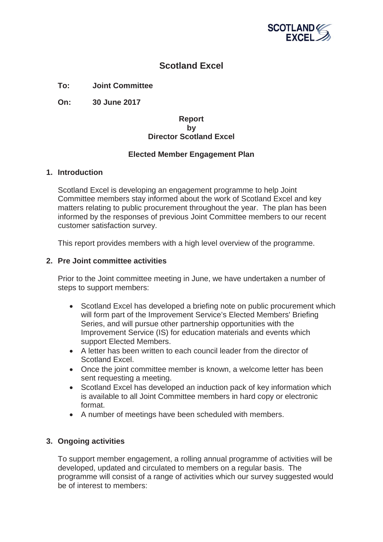

# **Scotland Excel**

**To: Joint Committee**

**On: 30 June 2017**

## **Report by Director Scotland Excel**

## **Elected Member Engagement Plan**

## **1. Introduction**

Scotland Excel is developing an engagement programme to help Joint Committee members stay informed about the work of Scotland Excel and key matters relating to public procurement throughout the year. The plan has been informed by the responses of previous Joint Committee members to our recent customer satisfaction survey.

This report provides members with a high level overview of the programme.

#### **2. Pre Joint committee activities**

Prior to the Joint committee meeting in June, we have undertaken a number of steps to support members:

- Scotland Excel has developed a briefing note on public procurement which will form part of the Improvement Service's Elected Members' Briefing Series, and will pursue other partnership opportunities with the Improvement Service (IS) for education materials and events which support Elected Members.
- A letter has been written to each council leader from the director of Scotland Excel.
- Once the joint committee member is known, a welcome letter has been sent requesting a meeting.
- Scotland Excel has developed an induction pack of key information which is available to all Joint Committee members in hard copy or electronic format.
- A number of meetings have been scheduled with members.

## **3. Ongoing activities**

To support member engagement, a rolling annual programme of activities will be developed, updated and circulated to members on a regular basis. The programme will consist of a range of activities which our survey suggested would be of interest to members: